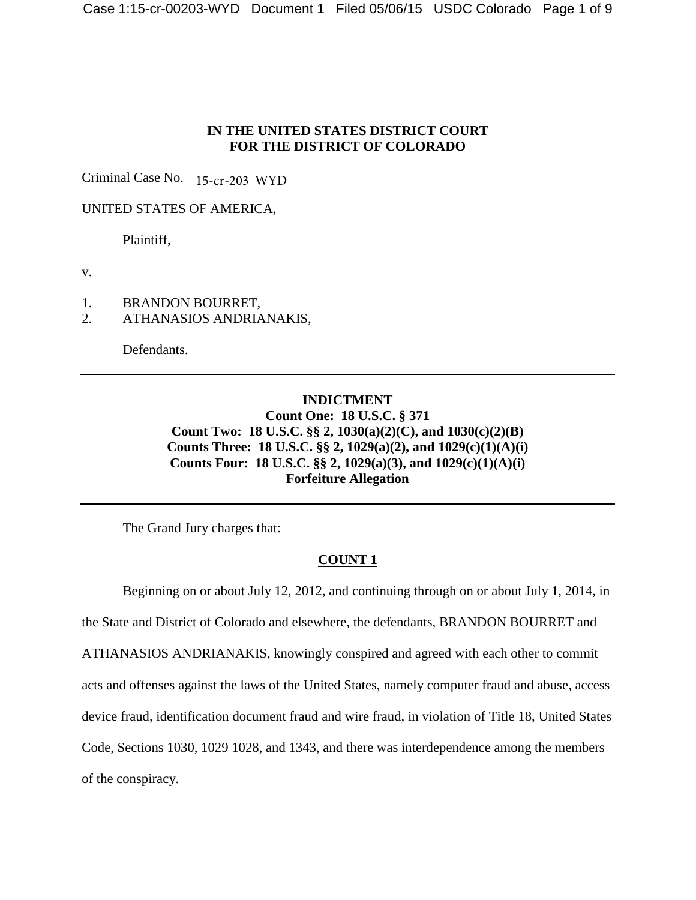## **IN THE UNITED STATES DISTRICT COURT FOR THE DISTRICT OF COLORADO**

Criminal Case No. 15-cr-203 WYD

UNITED STATES OF AMERICA,

Plaintiff,

v.

- 1. BRANDON BOURRET,
- 2. ATHANASIOS ANDRIANAKIS,

Defendants.

## **INDICTMENT Count One: 18 U.S.C. § 371 Count Two: 18 U.S.C. §§ 2, 1030(a)(2)(C), and 1030(c)(2)(B) Counts Three: 18 U.S.C. §§ 2, 1029(a)(2), and 1029(c)(1)(A)(i) Counts Four: 18 U.S.C. §§ 2, 1029(a)(3), and 1029(c)(1)(A)(i) Forfeiture Allegation**

The Grand Jury charges that:

## **COUNT 1**

Beginning on or about July 12, 2012, and continuing through on or about July 1, 2014, in the State and District of Colorado and elsewhere, the defendants, BRANDON BOURRET and ATHANASIOS ANDRIANAKIS, knowingly conspired and agreed with each other to commit acts and offenses against the laws of the United States, namely computer fraud and abuse, access device fraud, identification document fraud and wire fraud, in violation of Title 18, United States Code, Sections 1030, 1029 1028, and 1343, and there was interdependence among the members of the conspiracy.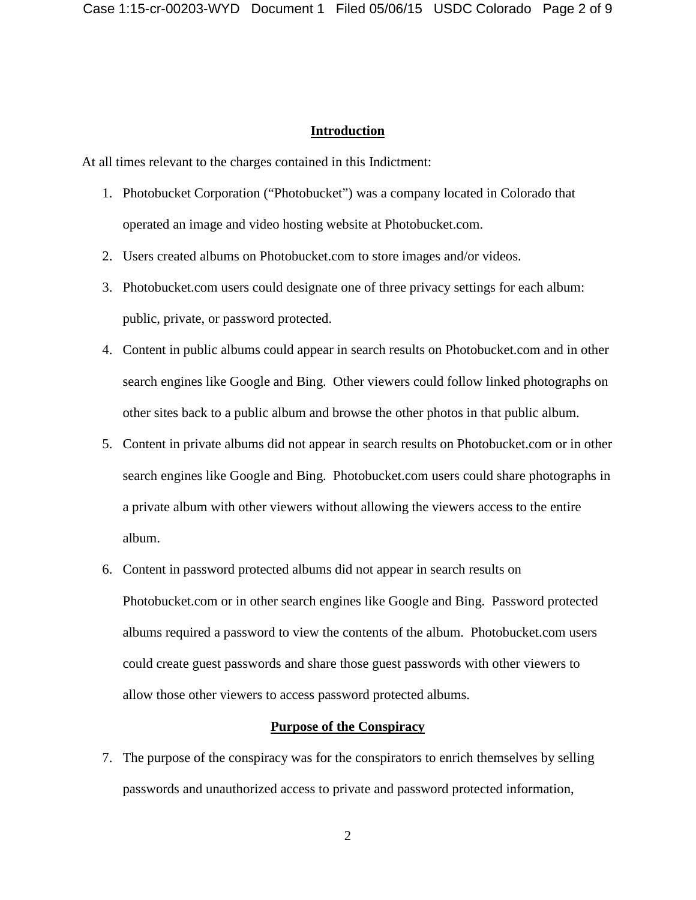#### **Introduction**

At all times relevant to the charges contained in this Indictment:

- 1. Photobucket Corporation ("Photobucket") was a company located in Colorado that operated an image and video hosting website at Photobucket.com.
- 2. Users created albums on Photobucket.com to store images and/or videos.
- 3. Photobucket.com users could designate one of three privacy settings for each album: public, private, or password protected.
- 4. Content in public albums could appear in search results on Photobucket.com and in other search engines like Google and Bing. Other viewers could follow linked photographs on other sites back to a public album and browse the other photos in that public album.
- 5. Content in private albums did not appear in search results on Photobucket.com or in other search engines like Google and Bing. Photobucket.com users could share photographs in a private album with other viewers without allowing the viewers access to the entire album.
- 6. Content in password protected albums did not appear in search results on Photobucket.com or in other search engines like Google and Bing. Password protected albums required a password to view the contents of the album. Photobucket.com users could create guest passwords and share those guest passwords with other viewers to allow those other viewers to access password protected albums.

### **Purpose of the Conspiracy**

7. The purpose of the conspiracy was for the conspirators to enrich themselves by selling passwords and unauthorized access to private and password protected information,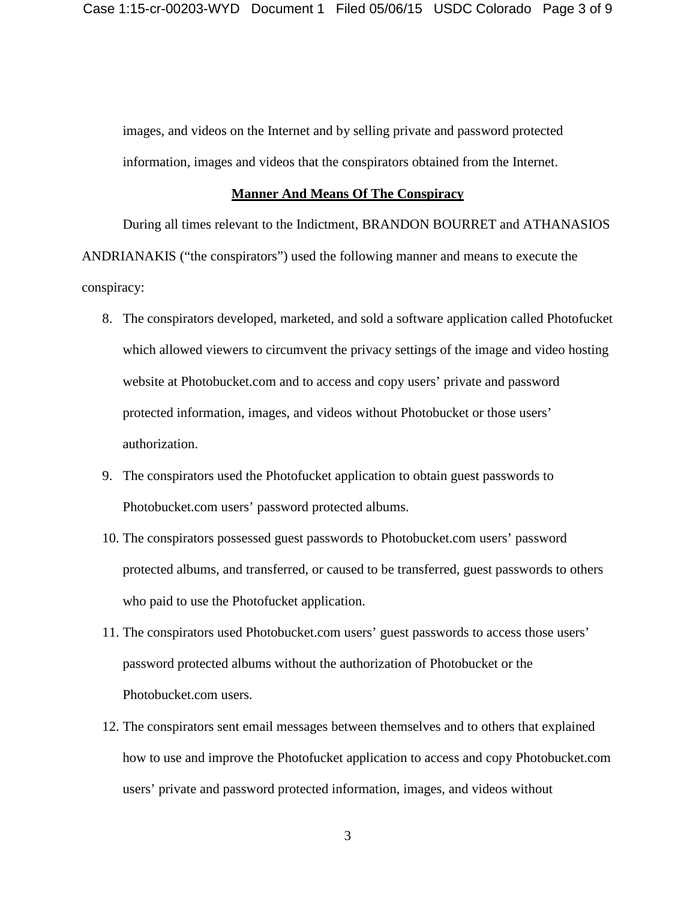images, and videos on the Internet and by selling private and password protected information, images and videos that the conspirators obtained from the Internet.

#### **Manner And Means Of The Conspiracy**

During all times relevant to the Indictment, BRANDON BOURRET and ATHANASIOS ANDRIANAKIS ("the conspirators") used the following manner and means to execute the conspiracy:

- 8. The conspirators developed, marketed, and sold a software application called Photofucket which allowed viewers to circumvent the privacy settings of the image and video hosting website at Photobucket.com and to access and copy users' private and password protected information, images, and videos without Photobucket or those users' authorization.
- 9. The conspirators used the Photofucket application to obtain guest passwords to Photobucket.com users' password protected albums.
- 10. The conspirators possessed guest passwords to Photobucket.com users' password protected albums, and transferred, or caused to be transferred, guest passwords to others who paid to use the Photofucket application.
- 11. The conspirators used Photobucket.com users' guest passwords to access those users' password protected albums without the authorization of Photobucket or the Photobucket.com users.
- 12. The conspirators sent email messages between themselves and to others that explained how to use and improve the Photofucket application to access and copy Photobucket.com users' private and password protected information, images, and videos without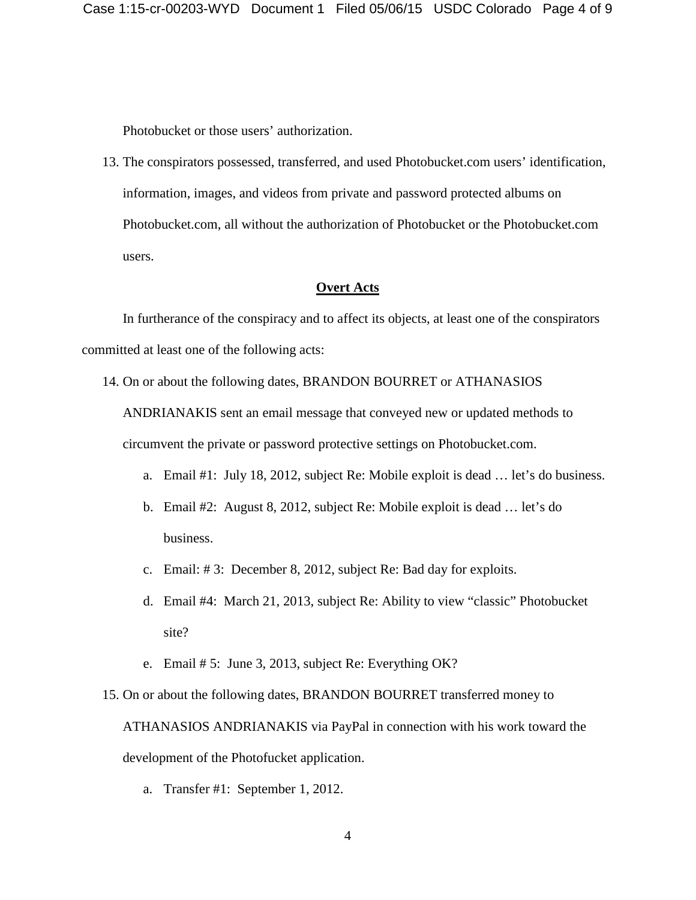Photobucket or those users' authorization.

13. The conspirators possessed, transferred, and used Photobucket.com users' identification, information, images, and videos from private and password protected albums on Photobucket.com, all without the authorization of Photobucket or the Photobucket.com users.

#### **Overt Acts**

In furtherance of the conspiracy and to affect its objects, at least one of the conspirators committed at least one of the following acts:

14. On or about the following dates, BRANDON BOURRET or ATHANASIOS

ANDRIANAKIS sent an email message that conveyed new or updated methods to circumvent the private or password protective settings on Photobucket.com.

- a. Email #1: July 18, 2012, subject Re: Mobile exploit is dead … let's do business.
- b. Email #2: August 8, 2012, subject Re: Mobile exploit is dead … let's do business.
- c. Email: # 3: December 8, 2012, subject Re: Bad day for exploits.
- d. Email #4: March 21, 2013, subject Re: Ability to view "classic" Photobucket site?
- e. Email # 5: June 3, 2013, subject Re: Everything OK?

15. On or about the following dates, BRANDON BOURRET transferred money to ATHANASIOS ANDRIANAKIS via PayPal in connection with his work toward the development of the Photofucket application.

a. Transfer #1: September 1, 2012.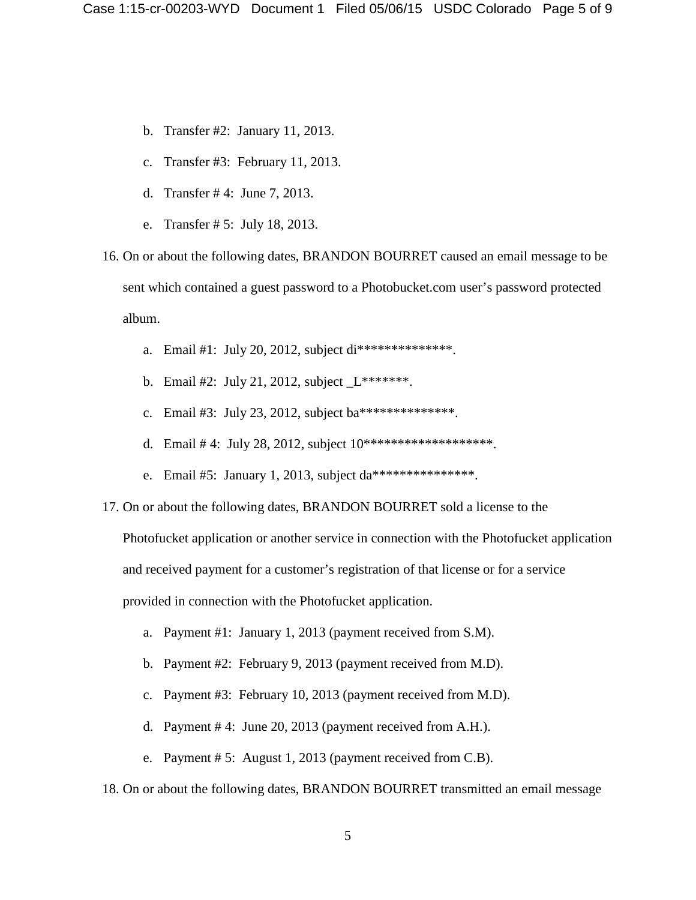- b. Transfer #2: January 11, 2013.
- c. Transfer #3: February 11, 2013.
- d. Transfer # 4: June 7, 2013.
- e. Transfer # 5: July 18, 2013.

16. On or about the following dates, BRANDON BOURRET caused an email message to be sent which contained a guest password to a Photobucket.com user's password protected album.

- a. Email #1: July 20, 2012, subject di\*\*\*\*\*\*\*\*\*\*\*\*\*\*.
- b. Email #2: July 21, 2012, subject \_L\*\*\*\*\*\*\*.
- c. Email #3: July 23, 2012, subject ba\*\*\*\*\*\*\*\*\*\*\*\*\*\*.
- d. Email # 4: July 28, 2012, subject  $10**********************$
- e. Email #5: January 1, 2013, subject da\*\*\*\*\*\*\*\*\*\*\*\*\*\*\*.
- 17. On or about the following dates, BRANDON BOURRET sold a license to the

Photofucket application or another service in connection with the Photofucket application

and received payment for a customer's registration of that license or for a service

provided in connection with the Photofucket application.

- a. Payment #1: January 1, 2013 (payment received from S.M).
- b. Payment #2: February 9, 2013 (payment received from M.D).
- c. Payment #3: February 10, 2013 (payment received from M.D).
- d. Payment # 4: June 20, 2013 (payment received from A.H.).
- e. Payment # 5: August 1, 2013 (payment received from C.B).

18. On or about the following dates, BRANDON BOURRET transmitted an email message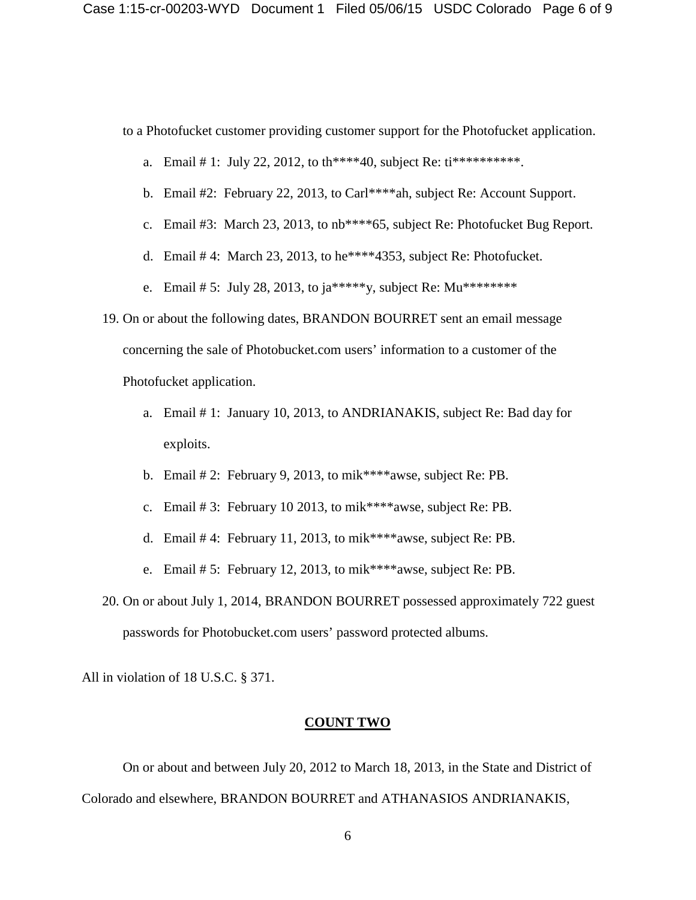to a Photofucket customer providing customer support for the Photofucket application.

- a. Email # 1: July 22, 2012, to th\*\*\*\*40, subject Re:  $ti**********$ .
- b. Email #2: February 22, 2013, to Carl\*\*\*\*ah, subject Re: Account Support.
- c. Email #3: March 23, 2013, to nb\*\*\*\*65, subject Re: Photofucket Bug Report.
- d. Email # 4: March 23, 2013, to he\*\*\*\*4353, subject Re: Photofucket.
- e. Email # 5: July 28, 2013, to ja\*\*\*\*\*y, subject Re: Mu\*\*\*\*\*\*\*\*\*
- 19. On or about the following dates, BRANDON BOURRET sent an email message concerning the sale of Photobucket.com users' information to a customer of the Photofucket application.
	- a. Email # 1: January 10, 2013, to ANDRIANAKIS, subject Re: Bad day for exploits.
	- b. Email # 2: February 9, 2013, to mik\*\*\*\*awse, subject Re: PB.
	- c. Email # 3: February 10 2013, to mik\*\*\*\*awse, subject Re: PB.
	- d. Email # 4: February 11, 2013, to mik\*\*\*\*awse, subject Re: PB.
	- e. Email # 5: February 12, 2013, to mik\*\*\*\*awse, subject Re: PB.
- 20. On or about July 1, 2014, BRANDON BOURRET possessed approximately 722 guest passwords for Photobucket.com users' password protected albums.

All in violation of 18 U.S.C. § 371.

#### **COUNT TWO**

On or about and between July 20, 2012 to March 18, 2013, in the State and District of Colorado and elsewhere, BRANDON BOURRET and ATHANASIOS ANDRIANAKIS,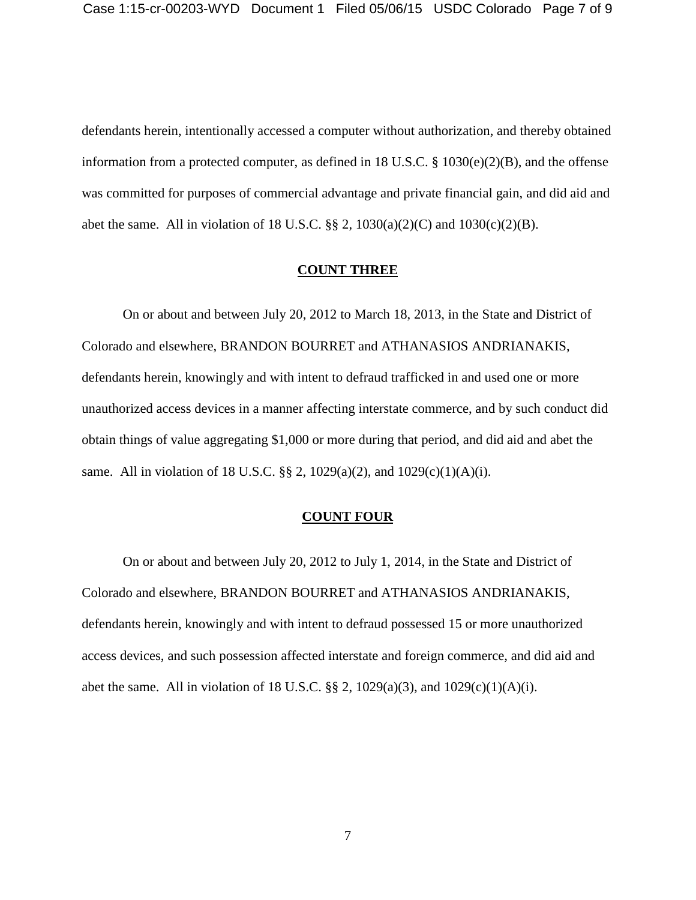defendants herein, intentionally accessed a computer without authorization, and thereby obtained information from a protected computer, as defined in 18 U.S.C. § 1030(e)(2)(B), and the offense was committed for purposes of commercial advantage and private financial gain, and did aid and abet the same. All in violation of 18 U.S.C.  $\S\S 2$ , 1030(a)(2)(C) and 1030(c)(2)(B).

#### **COUNT THREE**

On or about and between July 20, 2012 to March 18, 2013, in the State and District of Colorado and elsewhere, BRANDON BOURRET and ATHANASIOS ANDRIANAKIS, defendants herein, knowingly and with intent to defraud trafficked in and used one or more unauthorized access devices in a manner affecting interstate commerce, and by such conduct did obtain things of value aggregating \$1,000 or more during that period, and did aid and abet the same. All in violation of 18 U.S.C. §§ 2, 1029(a)(2), and 1029(c)(1)(A)(i).

#### **COUNT FOUR**

On or about and between July 20, 2012 to July 1, 2014, in the State and District of Colorado and elsewhere, BRANDON BOURRET and ATHANASIOS ANDRIANAKIS, defendants herein, knowingly and with intent to defraud possessed 15 or more unauthorized access devices, and such possession affected interstate and foreign commerce, and did aid and abet the same. All in violation of 18 U.S.C. §§ 2, 1029(a)(3), and 1029(c)(1)(A)(i).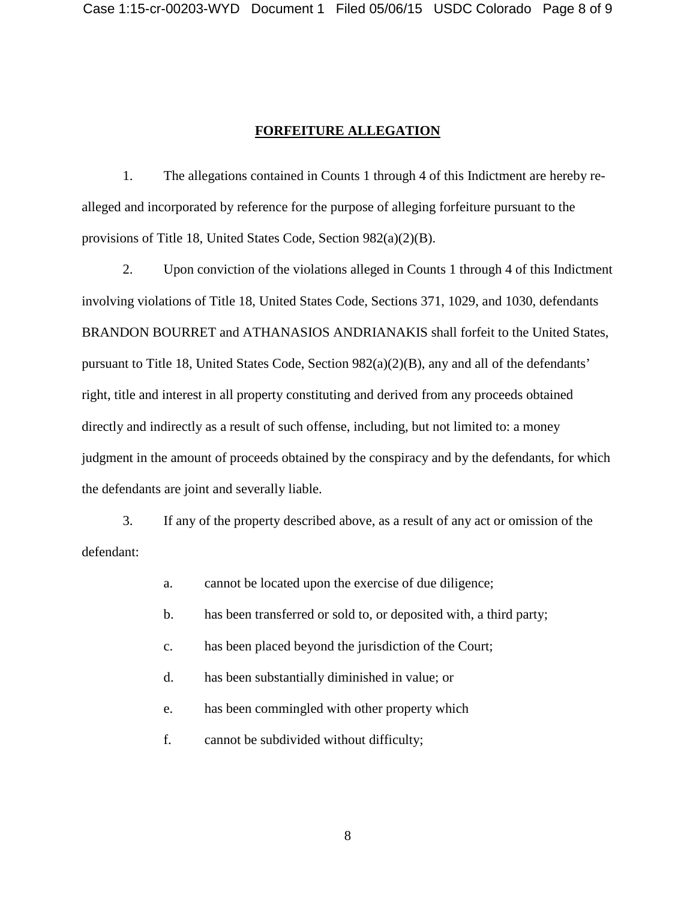### **FORFEITURE ALLEGATION**

1. The allegations contained in Counts 1 through 4 of this Indictment are hereby realleged and incorporated by reference for the purpose of alleging forfeiture pursuant to the provisions of Title 18, United States Code, Section 982(a)(2)(B).

2. Upon conviction of the violations alleged in Counts 1 through 4 of this Indictment involving violations of Title 18, United States Code, Sections 371, 1029, and 1030, defendants BRANDON BOURRET and ATHANASIOS ANDRIANAKIS shall forfeit to the United States, pursuant to Title 18, United States Code, Section 982(a)(2)(B), any and all of the defendants' right, title and interest in all property constituting and derived from any proceeds obtained directly and indirectly as a result of such offense, including, but not limited to: a money judgment in the amount of proceeds obtained by the conspiracy and by the defendants, for which the defendants are joint and severally liable.

3. If any of the property described above, as a result of any act or omission of the defendant:

a. cannot be located upon the exercise of due diligence;

- b. has been transferred or sold to, or deposited with, a third party;
- c. has been placed beyond the jurisdiction of the Court;
- d. has been substantially diminished in value; or
- e. has been commingled with other property which
- f. cannot be subdivided without difficulty;

8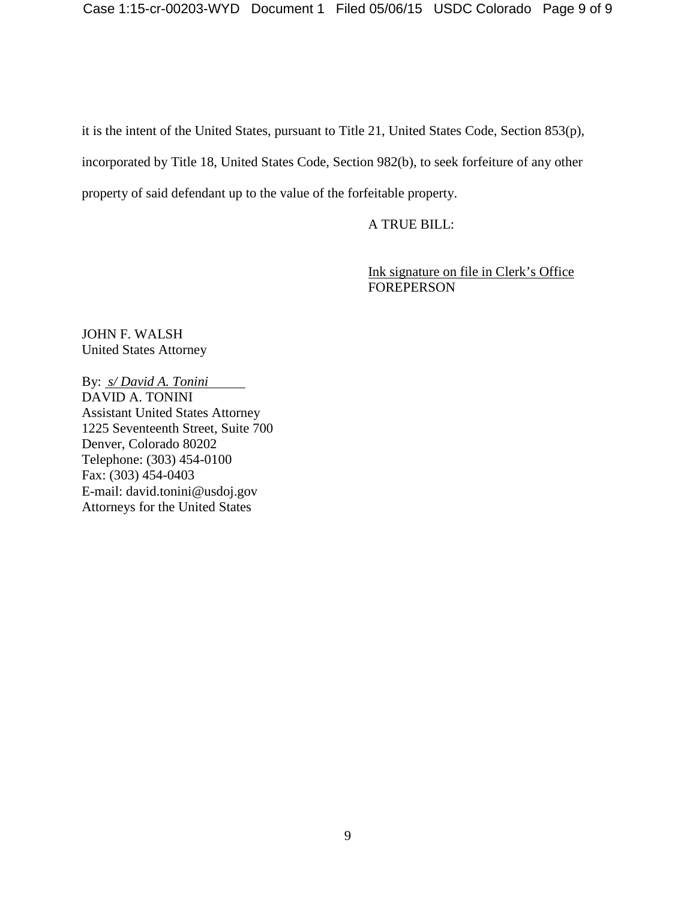it is the intent of the United States, pursuant to Title 21, United States Code, Section 853(p), incorporated by Title 18, United States Code, Section 982(b), to seek forfeiture of any other property of said defendant up to the value of the forfeitable property.

A TRUE BILL:

Ink signature on file in Clerk's Office FOREPERSON

JOHN F. WALSH United States Attorney

By: *s/ David A. Tonini*  DAVID A. TONINI Assistant United States Attorney 1225 Seventeenth Street, Suite 700 Denver, Colorado 80202 Telephone: (303) 454-0100 Fax: (303) 454-0403 E-mail: david.tonini@usdoj.gov Attorneys for the United States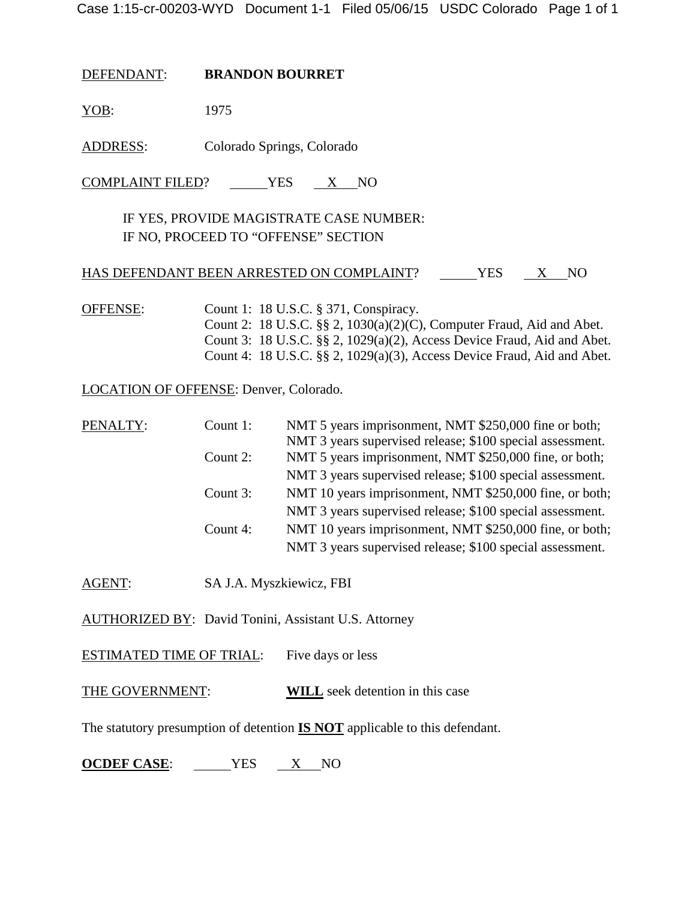DEFENDANT: **BRANDON BOURRET**

YOB: 1975

ADDRESS: Colorado Springs, Colorado

 $COMPLANT FILED?$   $YES$   $X NO$ 

# IF YES, PROVIDE MAGISTRATE CASE NUMBER: IF NO, PROCEED TO "OFFENSE" SECTION

## HAS DEFENDANT BEEN ARRESTED ON COMPLAINT? \_\_\_\_\_\_YES \_\_\_ X \_\_ NO

OFFENSE: Count 1: 18 U.S.C. § 371, Conspiracy. Count 2: 18 U.S.C. §§ 2, 1030(a)(2)(C), Computer Fraud, Aid and Abet. Count 3: 18 U.S.C. §§ 2, 1029(a)(2), Access Device Fraud, Aid and Abet. Count 4: 18 U.S.C. §§ 2, 1029(a)(3), Access Device Fraud, Aid and Abet.

LOCATION OF OFFENSE: Denver, Colorado.

| PENALTY: | Count 1: | NMT 5 years imprisonment, NMT \$250,000 fine or both;     |
|----------|----------|-----------------------------------------------------------|
|          |          | NMT 3 years supervised release; \$100 special assessment. |
|          | Count 2: | NMT 5 years imprisonment, NMT \$250,000 fine, or both;    |
|          |          | NMT 3 years supervised release; \$100 special assessment. |
|          | Count 3: | NMT 10 years imprisonment, NMT \$250,000 fine, or both;   |
|          |          | NMT 3 years supervised release; \$100 special assessment. |
|          | Count 4: | NMT 10 years imprisonment, NMT \$250,000 fine, or both;   |
|          |          | NMT 3 years supervised release; \$100 special assessment. |

AGENT: SA J.A. Myszkiewicz, FBI

AUTHORIZED BY: David Tonini, Assistant U.S. Attorney

ESTIMATED TIME OF TRIAL: Five days or less

THE GOVERNMENT: **WILL** seek detention in this case

The statutory presumption of detention **IS NOT** applicable to this defendant.

**OCDEF CASE**: YES X NO